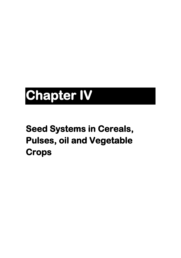# **Chapter IV**

## **Seed Systems in Cereals, Pulses, oil and Vegetable Crops**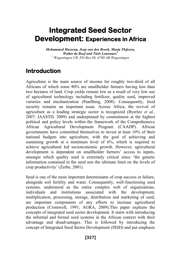### **Integrated Seed Sector Development: Experiences in Africa**

*Mohammed Hassena, Joep van den Broek, Marja Thijssen, Walter de Boef and Niels Louwaars<sup>1</sup> <sup>1</sup> Wageningen UR, PO Box 88, 6700 AB Wageningen*

#### **Introduction**

Agriculture is the main source of income for roughly two-third of all Africans of which some 80% are smallholder farmers having less than two hectares of land. Crop yields remain low as a result of very low use of agricultural technology including fertilizer, quality seed, improved varieties and mechanization (Paarlberg, 2008). Consequently, food security remains an important issue. Across Africa, the revival of agriculture as a leading strategic sector is recognized (Byerlee *et al.,*  2007; IAASTD, 2009) and underpinned by commitment at the highest political and policy levels within the framework of the Comprehensive African Agricultural Development Program (CAADP). African governments have committed themselves to invest at least 10% of their national budgets into agriculture, with the goal of achieving and sustaining growth at a minimum level of 6%, which is required to achieve agricultural led socioeconomic growth. However, agricultural development is dependent on smallholder farmers' access to inputs, amongst which quality seed is extremely critical since 'the genetic information contained in the seed sets the ultimate limit on the levels of crop productivity' (Zerbe, 2001).

Seed is one of the most important determinants of crop success or failure, alongside soil fertility and water. Consequently, well-functioning seed systems, understood as the entire complex web of organizations, individuals and institutions associated with the development, multiplication, processing, storage, distribution and marketing of seed, are important components of any efforts to increase agricultural production (Cromwell, 1991; AGRA, 2009).This paper explains the concepts of integrated seed sector development. It starts with introducing the informal and formal seed systems in the African context with their advantage and disadvantages. This is followed by introducing the concept of Integrated Seed Sector Development (ISSD) and put emphasis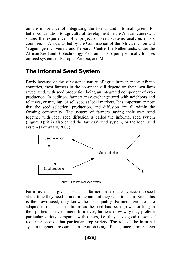on the importance of integrating the formal and informal system for better contribution to agricultural development in the African context. It shares the experiences of a project on seed systems analyses in six countries in Africa, as led by the Commission of the African Union and Wageningen University and Research Centre, the Netherlands, under the African Seed and Biotechnology Program. The paper specifically focuses on seed systems in Ethiopia, Zambia, and Mali.

#### **The Informal Seed System**

Partly because of the subsistence nature of agriculture in many African countries, most farmers in the continent still depend on their own farm saved seed, with seed production being an integrated component of crop production. In addition, farmers may exchange seed with neighbors and relatives, or may buy or sell seed at local markets. It is important to note that the seed selection, production, and diffusion are all within the farming community. The system of farmers saving their own seed together with local seed diffusion is called the informal seed system (Figure 1); it is also called the farmers' seed system, or the local seed system (Louwaars, 2007).



Figure 1. The informal seed system

Farm-saved seed gives subsistence farmers in Africa easy access to seed at the time they need it, and in the amount they want to use it. Since this is their own seed, they know the seed quality. Farmers' varieties are adapted to the local conditions as the seed has been grown for long in their particular environment. Moreover, farmers know why they prefer a particular variety compared with others, i.e. they have good reason of requiring seed of that particular crop variety. The role of the informal system in genetic resource conservation is significant, since farmers keep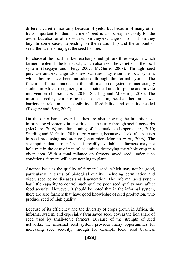different varieties not only because of yield, but because of many other traits important for them. Farmers' seed is also cheap, not only for the owner but also for others with whom they exchange or from whom they buy. In some cases, depending on the relationship and the amount of seed, the farmers may get the seed for free.

Purchase at the local market, exchange and gift are three ways in which farmers replenish the lost stock, which also keep the varieties in the local system (Tsegaye and Berg, 2007; McGuire, 2008). Through seed purchase and exchange also new varieties may enter the local system, which before have been introduced through the formal system. The function of rural markets in the informal seed system is increasingly studied in Africa, recognizing it as a potential area for public and private intervention (Lipper *et al.,* 2010; Sperling and McGuire, 2010). The informal seed system is efficient in distributing seed as there are fewer barriers in relation to accessibility, affordability, and quantity needed (Tsegaye and Berg, 2007).

On the other hand, several studies are also showing the limitations of informal seed systems in ensuring seed security through social networks (McGuire, 2008) and functioning of the markets (Lipper *et al.,* 2010; Sperling and McGuire, 2010), for example, because of lack of capacities in seed processing and storage (Latourniere-Moreno *et al.,* 2006). The assumption that farmers' seed is readily available to farmers may not hold true in the case of natural calamities destroying the whole crop in a given area. With a total reliance on farmers saved seed, under such conditions, farmers will have nothing to plant.

Another issue is the quality of farmers' seed, which may not be good, particularly in terms of biological quality, including germination and vigor, seed borne diseases and degeneration. The informal seed system has little capacity to control such quality; poor seed quality may affect food security. However, it should be noted that in the informal system, there are also farmers that have good knowledge of seed production, who produce seed of high quality.

Because of its efficiency and the diversity of crops grown in Africa, the informal system, and especially farm saved seed, covers the lion share of seed used by small-scale farmers. Because of the strength of seed networks, the informal seed system provides many opportunities for increasing seed security, through for example local seed business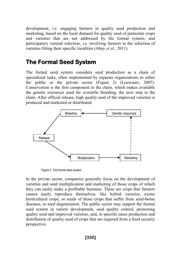development, i.e. engaging farmers in quality seed production and marketing, based on the local demand for quality seed of particular crops and varieties that are not addressed by the formal system; and participatory varietal selection, i.e. involving farmers in the selection of varieties fitting their specific localities (Abay *et al.,* 2011).

#### **The Formal Seed System**

The formal seed system considers seed production as a chain of specialized tasks, often implemented by separate organizations in either the public or the private sector (Figure 2) (Louwaars, 2007). Conservation is the first component in the chain, which makes available the genetic resources used for scientific breeding, the next step in the chain. After official release, high quality seed of the improved varieties is produced and marketed or distributed.



Figure 2. The formal seed system

In the private sector, companies generally focus on the development of varieties and seed multiplication and marketing of those crops of which they can easily make a profitable business. These are crops that farmers cannot easily reproduce themselves, like hybrid varieties, exotic horticultural crops, or seeds of those crops that suffer from seed-borne diseases, or seed degeneration. The public sector may support the formal seed system in variety development, seed quality control, promoting quality seed and improved varieties, and, in specific cases production and distribution of quality seed of crops that are required from a food security perspective.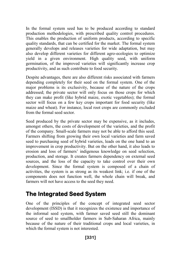In the formal system seed has to be produced according to standard production methodologies, with prescribed quality control procedures. This enables the production of uniform products, according to specific quality standards, that can be certified for the market. The formal system generally develops and releases varieties for wide adaptation, but may also develop different varieties for different agro-ecologies to optimize yield in a given environment. High quality seed, with uniform germination, of the improved varieties will significantly increase crop productivity, and as such contribute to food security.

Despite advantages, there are also different risks associated with farmers depending completely for their seed on the formal system. One of the major problems is its exclusivity, because of the nature of the crops addressed; the private sector will only focus on those crops for which they can make profit (like hybrid maize, exotic vegetables); the formal sector will focus on a few key crops important for food security (like maize and wheat). For instance, local root crops are commonly excluded from the formal seed sector.

Seed produced by the private sector may be expensive, as it includes, amongst others, the costs of development of the varieties, and the profit of the company. Small-scale farmers may not be able to afford this seed. Farmers shifting from growing their own local varieties and farm saved seed to purchasing seed of hybrid varieties, leads on the one hand to an improvement in crop productivity. But on the other hand, it also leads to erosion and loss of farmers' indigenous knowledge on seed selection, production, and storage. It creates farmers dependency on external seed sources, and the loss of the capacity to take control over their own development. Since the formal system is composed of a chain of activities, the system is as strong as its weakest link; i.e. if one of the components does not function well, the whole chain will break, and farmers will not have access to the seed they need.

#### **The Integrated Seed System**

One of the principles of the concept of integrated seed sector development (ISSD) is that it recognizes the existence and importance of the informal seed system, with farmer saved seed still the dominant source of seed to smallholder farmers in Sub-Saharan Africa, mainly because of the nature of their traditional crops and local varieties, in which the formal system is not interested.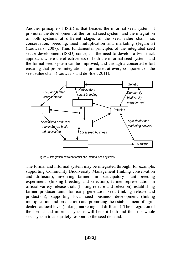Another principle of ISSD is that besides the informal seed system, it promotes the development of the formal seed system, and the integration of both systems at different stages of the seed value chain, i.e. conservation, breeding, seed multiplication and marketing (Figure 3) (Louwaars, 2007). Thus fundamental principles of the integrated seed sector development (ISSD) concept is the need to develop a twin track approach, where the effectiveness of both the informal seed systems and the formal seed system can be improved, and through a concerted effort ensuring that proper integration is promoted at every component of the seed value chain (Louwaars and de Boef, 2011).



Figure 3. Integration between formal and informal seed systems

The formal and informal system may be integrated through, for example, supporting Community Biodiversity Management (linking conservation and diffusion); involving farmers in participatory plant breeding experiments (linking breeding and selection), farmer representation in official variety release trials (linking release and selection), establishing farmer producer units for early generation seed (linking release and production), supporting local seed business development (linking multiplication and production) and promoting the establishment of agrodealers at local level (linking marketing and diffusion). The integration of the formal and informal systems will benefit both and thus the whole seed system to adequately respond to the seed demand.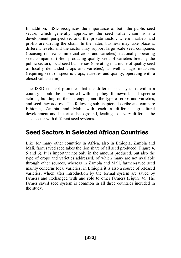In addition, ISSD recognizes the importance of both the public seed sector, which generally approaches the seed value chain from a development perspective, and the private sector, where markets and profits are driving the chain. In the latter, business may take place at different levels, and the sector may support large scale seed companies (focusing on few commercial crops and varieties), nationally operating seed companies (often producing quality seed of varieties bred by the public sector), local seed businesses (operating in a niche of quality seed of locally demanded crops and varieties), as well as agro-industries (requiring seed of specific crops, varieties and quality, operating with a closed value chain).

The ISSD concept promotes that the different seed systems within a country should be supported with a policy framework and specific actions, building on their strengths, and the type of crops and varieties, and seed they address. The following sub-chapters describe and compare Ethiopia, Zambia and Mali, with each a different agricultural development and historical background, leading to a very different the seed sector with different seed systems.

#### **Seed Sectors in Selected African Countries**

Like for many other countries in Africa, also in Ethiopia, Zambia and Mali, farm saved seed takes the lion share of all seed produced (Figure 4, 5 and 6). It is important not only in the amount produced, but also the type of crops and varieties addressed, of which many are not available through other sources, whereas in Zambia and Mali, farmer-saved seed mainly concerns local varieties; in Ethiopia it is also a source of released varieties, which after introduction by the formal system are saved by farmers and exchanged with and sold to other farmers (Figure 4). The farmer saved seed system is common in all three countries included in the study.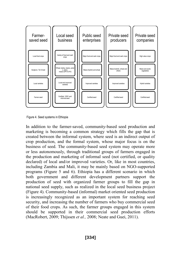

Figure 4. Seed systems in Ethiopia

In addition to the farmer-saved, community-based seed production and marketing is becoming a common strategy which fills the gap that is created between the informal system, where seed is an indirect output of crop production, and the formal system, whose major focus is on the business of seed. The community-based seed system may operate more or less autonomously, through traditional groups of farmers engaged in the production and marketing of informal seed (not certified, or quality declared) of local and/or improved varieties. Or, like in most countries, including Zambia and Mali, it may be mainly based on NGO-supported programs (Figure 5 and 6). Ethiopia has a different scenario in which both government and different development partners support the production of seed with organized farmer groups to fill the gap in national seed supply, such as realized in the local seed business project (Figure 4). Community-based (informal) market oriented seed production is increasingly recognized as an important system for reaching seed security, and increasing the number of farmers who buy commercial seed of their food crops. As such, the farmer groups engaged in this system should be supported in their commercial seed production efforts (MacRobert, 2009; Thijssen *et al.,* 2008; Neate and Guei, 2011).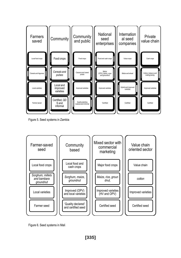

Figure 5. Seed systems in Zambia



Figure 6. Seed systems in Mali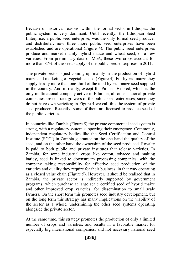Because of historical reasons, within the formal sector in Ethiopia, the public system is very dominant. Until recently, the Ethiopian Seed Enterprise, a public seed enterprise, was the only formal seed producer and distributer; now three more public seed enterprises have been established and are operational (Figure 4). The public seed enterprises produce and market mainly hybrid maize and wheat seed, of a few varieties. From preliminary data of MoA, these two crops account for more than 87% of the seed supply of the public seed enterprises in 2011.

The private sector is just coming up, mainly in the production of hybrid maize and marketing of vegetable seed (Figure 4). For hybrid maize they supply hardly more than one-third of the total hybrid maize seed supplied in the country. And in reality, except for Pioneer Hi-bred, which is the only multinational company active in Ethiopia, all other national private companies are contract growers of the public seed enterprises, since they do not have own varieties; in Figure 4 we call this the system of private seed producers. Recently, some of them are licensed to produce seed of the public varieties.

In countries like Zambia (Figure 5) the private commercial seed system is strong, with a regulatory system supporting their emergence. Commonly, independent regulatory bodies like the Seed Certification and Control Institute (SCCI) in Zambia guarantee on the one hand the quality of the seed, and on the other hand the ownership of the seed produced. Royalty is paid to both public and private institutes that release varieties. In Zambia, for some industrial crops like cotton, tobacco and malting barley, seed is linked to downstream processing companies, with the company taking responsibility for effective seed production of the varieties and quality they require for their business, in that way operating as a closed value chain (Figure 5). However, it should be realized that in Zambia, the private sector is indirectly supported by government programs, which purchase at large scale certified seed of hybrid maize and other improved crop varieties, for dissemination to small scale farmers. On the short term this promotes seed industry development, but on the long term this strategy has many implications on the viability of the sector as a whole, undermining the other seed systems operating alongside the private sector.

At the same time, this strategy promotes the production of only a limited number of crops and varieties, and results in a favorable market for especially big international companies, and not necessary national seed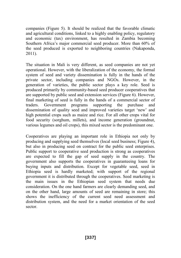companies (Figure 5). It should be realized that the favorable climatic and agricultural conditions, linked to a highly enabling policy, regulatory and economic (tax) environment, has resulted in Zambia becoming Southern Africa's major commercial seed producer. More than 60% of the seed produced is exported to neighboring countries (Nakaponda, 2011).

The situation in Mali is very different, as seed companies are not yet operational. However, with the liberalization of the economy, the formal system of seed and variety dissemination is fully in the hands of the private sector, including companies and NGOs. However, in the generation of varieties, the public sector plays a key role. Seed is produced primarily by community-based seed producer cooperatives that are supported by public seed and extension services (Figure 6). However, final marketing of seed is fully in the hands of a commercial sector of traders. Government programs supporting the purchase and dissemination of quality seed and improved varieties target 'new' and high potential crops such as maize and rice. For all other crops vital for food security (sorghum, millets), and income generation (groundnut, various legumes and oil crops), this mixed sector is the predominant one.

Cooperatives are playing an important role in Ethiopia not only by producing and supplying seed themselves (local seed business; Figure 4), but also in producing seed on contract for the public seed enterprises. Public support to cooperative seed production is strong as cooperatives are expected to fill the gap of seed supply in the country. The government also supports the cooperatives in guaranteeing loans for buying inputs and distribution. Except for vegetable seed, seed in Ethiopia seed is hardly marketed; with support of the regional government it is distributed through the cooperatives. Seed marketing is the main issues in the Ethiopian seed system that needs due consideration. On the one hand farmers are clearly demanding seed, and on the other hand, large amounts of seed are remaining in store; this shows the inefficiency of the current seed need assessment and distribution system, and the need for a market orientation of the seed sector.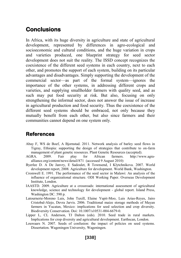#### **Conclusions**

In Africa, with its huge diversity in agriculture and state of agricultural development, represented by differences in agro-ecological and socioeconomic and cultural conditions, and the huge variation in crops and varieties produced, one blueprint strategy for seed sector development does not suit the reality. The ISSD concept recognizes the coexistence of the different seed systems in each country, next to each other, and promotes the support of each system, building on its particular advantages and disadvantages. Simply supporting the development of the commercial sector—as part of the formal system—ignores the importance of the other systems, in addressing different crops and varieties, and supplying smallholder farmers with quality seed, and as such may put food security at risk. But also, focusing on only strengthening the informal sector, does not answer the issue of increase in agricultural production and food security. Thus the coexistence of the different seed systems should be embraced, not only because they mutually benefit from each other, but also since farmers and their communities cannot depend on one system only.

#### **References**

- Abay F, WS de Boef, A Bjornstad. 2011. Network analysis of barley seed flows in Tigray, Ethiopia: supporting the design of strategies that contribute to on-farm management of plant genetic resources. Plant Genetic Resources (accepted).
- AGRA. 2009. Fair play for African farmers. http://www.agraalliance.org/content/news/detail/871 (accessed 9 August 2010)
- Byerlee D. A De Janvry, E Sadoulet, R Townsend, I Klytchnikova. 2007. World development report, 2008. Agriculture for development. World Bank, Washington.
- Cromwell E. 1991. The performance of the seed sector in Malawi: An analysis of the influence of organizational structure. ODI Working Paper. Overseas Development Institute, London.
- IAASTD. 2009. Agriculture at a crossroads: international assessment of agricultural knowledge, science and technology for development - global report. Island Press, Washington DC. 590 p.
- Latournerie-Moreno Luis, John Tuxill, Elaine Yupit-Moo, Luis Arias-Reyes, Jairo Cristobal-Alejo, Devra Jarvis. 2006. Traditional maize storage methods of Mayan farmers in Yucatan, Mexico: implications for seed selection and crop diversity. Biodiversity Conservation. Doi: 10.1007/s10531-004-6679-0.
- Lipper L, CL Anderson, TJ Dalton (eds). 2010. Seed trade in rural markets. Implications for crop diversity and agricultural development. Earthscan, London.
- Louwaars N. 2007. Seeds of confusion: the impact of policies on seed systems. Dissertation. Wageningen University, Wageningen.